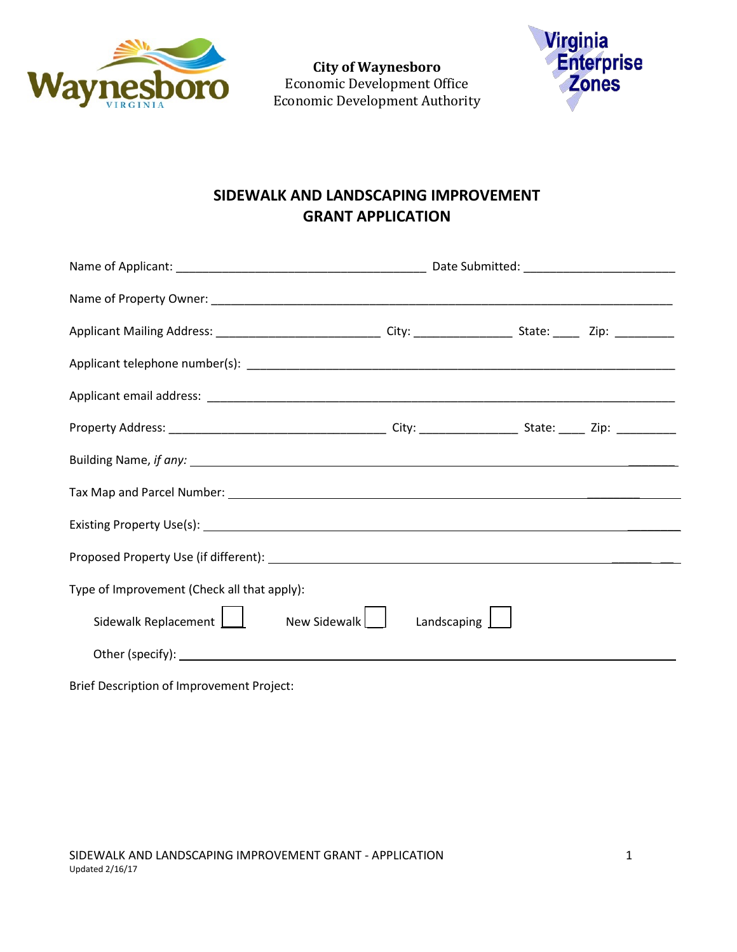

**City of Waynesboro**  Economic Development Office Economic Development Authority



## **SIDEWALK AND LANDSCAPING IMPROVEMENT GRANT APPLICATION**

| Type of Improvement (Check all that apply): |                    |  |  |
|---------------------------------------------|--------------------|--|--|
| Sidewalk Replacement   New Sidewalk         | Landscaping $\Box$ |  |  |
|                                             |                    |  |  |
|                                             |                    |  |  |

Brief Description of Improvement Project: